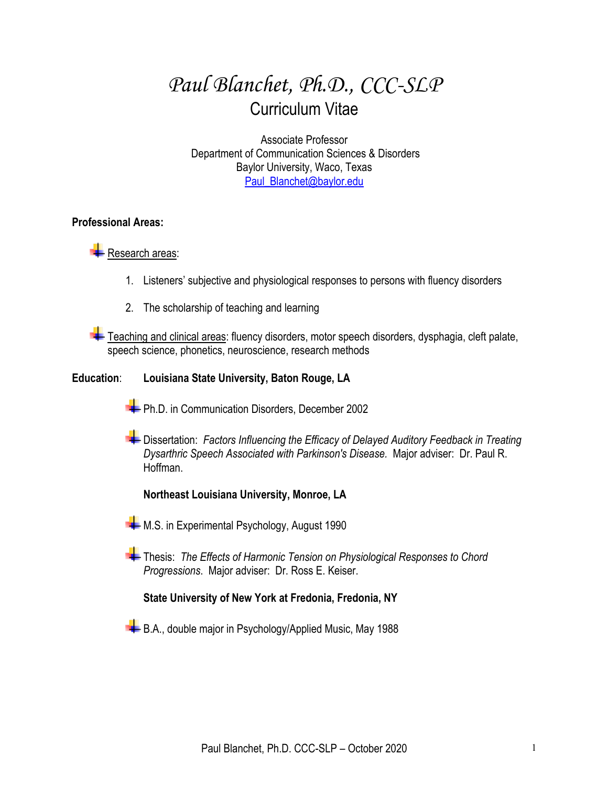# *Paul Blanchet, Ph.D., CCC-SLP* Curriculum Vitae

Associate Professor Department of Communication Sciences & Disorders Baylor University, Waco, Texas Paul\_Blanchet@baylor.edu

## **Professional Areas:**

# **Research areas:**

- 1. Listeners' subjective and physiological responses to persons with fluency disorders
- 2. The scholarship of teaching and learning

Teaching and clinical areas: fluency disorders, motor speech disorders, dysphagia, cleft palate, speech science, phonetics, neuroscience, research methods

## **Education**: **Louisiana State University, Baton Rouge, LA**

- **PH.D.** in Communication Disorders, December 2002
- Dissertation: *Factors Influencing the Efficacy of Delayed Auditory Feedback in Treating Dysarthric Speech Associated with Parkinson's Disease.* Major adviser: Dr. Paul R. Hoffman.

# **Northeast Louisiana University, Monroe, LA**

- M.S. in Experimental Psychology, August 1990
- **Thesis:** *The Effects of Harmonic Tension on Physiological Responses to Chord Progressions*. Major adviser: Dr. Ross E. Keiser.

# **State University of New York at Fredonia, Fredonia, NY**

B.A., double major in Psychology/Applied Music, May 1988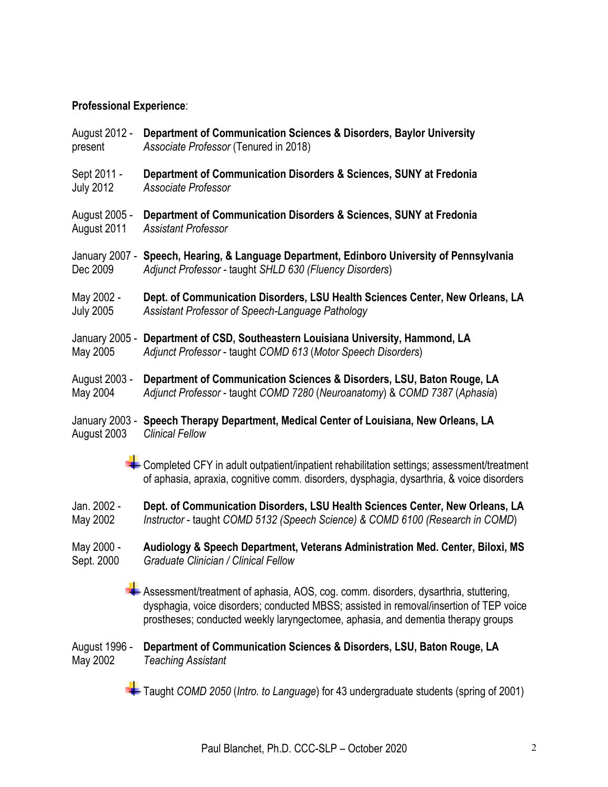# **Professional Experience**:

- August 2012 **Department of Communication Sciences & Disorders, Baylor University** present *Associate Professor* (Tenured in 2018)
- Sept 2011 **Department of Communication Disorders & Sciences, SUNY at Fredonia** July 2012 *Associate Professor*
- August 2005 **Department of Communication Disorders & Sciences, SUNY at Fredonia** August 2011 *Assistant Professor*
- January 2007 **Speech, Hearing, & Language Department, Edinboro University of Pennsylvania**  Dec 2009 *Adjunct Professor -* taught *SHLD 630 (Fluency Disorders*)
- May 2002 **Dept. of Communication Disorders, LSU Health Sciences Center, New Orleans, LA** July 2005 *Assistant Professor of Speech-Language Pathology*
- January 2005 **Department of CSD, Southeastern Louisiana University, Hammond, LA** May 2005 *Adjunct Professor* - taught *COMD 613* (*Motor Speech Disorders*)
- August 2003 **Department of Communication Sciences & Disorders, LSU, Baton Rouge, LA** May 2004 *Adjunct Professor* - taught *COMD 7280* (*Neuroanatomy*) & *COMD 7387* (*Aphasia*)
- January 2003 **Speech Therapy Department, Medical Center of Louisiana, New Orleans, LA** August 2003 *Clinical Fellow*
	- $\blacktriangleright$  Completed CFY in adult outpatient/inpatient rehabilitation settings; assessment/treatment of aphasia, apraxia, cognitive comm. disorders, dysphagia, dysarthria, & voice disorders
- Jan. 2002 **Dept. of Communication Disorders, LSU Health Sciences Center, New Orleans, LA** May 2002 *Instructor* - taught *COMD 5132 (Speech Science) & COMD 6100 (Research in COMD*)
- May 2000 **Audiology & Speech Department, Veterans Administration Med. Center, Biloxi, MS** Sept. 2000 *Graduate Clinician / Clinical Fellow*
	- Assessment/treatment of aphasia, AOS, cog. comm. disorders, dysarthria, stuttering, dysphagia, voice disorders; conducted MBSS; assisted in removal/insertion of TEP voice prostheses; conducted weekly laryngectomee, aphasia, and dementia therapy groups
- August 1996 **Department of Communication Sciences & Disorders, LSU, Baton Rouge, LA** May 2002 *Teaching Assistant*
	- Taught *COMD 2050* (*Intro. to Language*) for 43 undergraduate students (spring of 2001)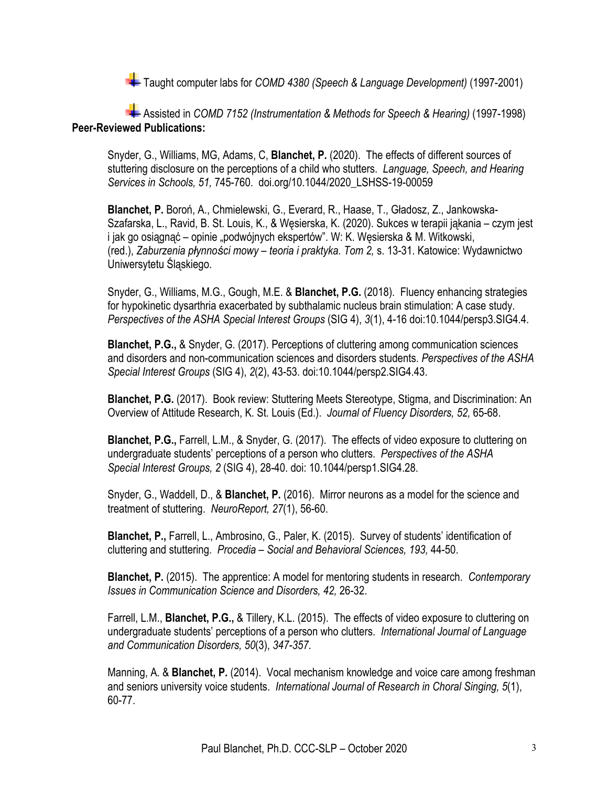Taught computer labs for *COMD 4380 (Speech & Language Development)* (1997-2001)

Assisted in *COMD 7152 (Instrumentation & Methods for Speech & Hearing)* (1997-1998) **Peer-Reviewed Publications:**

Snyder, G., Williams, MG, Adams, C, **Blanchet, P.** (2020). The effects of different sources of stuttering disclosure on the perceptions of a child who stutters. *Language, Speech, and Hearing Services in Schools, 51,* 745-760. doi.org/10.1044/2020\_LSHSS-19-00059

**Blanchet, P.** Boroń, A., Chmielewski, G., Everard, R., Haase, T., Gładosz, Z., Jankowska-Szafarska, L., Ravid, B. St. Louis, K., & Węsierska, K. (2020). Sukces w terapii jąkania – czym jest i jak go osiągnąć – opinie "podwójnych ekspertów". W: K. Węsierska & M. Witkowski, (red.), *Zaburzenia płynności mowy – teoria i praktyka. Tom 2,* s. 13-31. Katowice: Wydawnictwo Uniwersytetu Śląskiego.

Snyder, G., Williams, M.G., Gough, M.E. & **Blanchet, P.G.** (2018). Fluency enhancing strategies for hypokinetic dysarthria exacerbated by subthalamic nucleus brain stimulation: A case study. *Perspectives of the ASHA Special Interest Groups* (SIG 4), *3*(1), 4-16 doi:10.1044/persp3.SIG4.4.

**Blanchet, P.G.,** & Snyder, G. (2017). Perceptions of cluttering among communication sciences and disorders and non-communication sciences and disorders students. *Perspectives of the ASHA Special Interest Groups* (SIG 4), *2*(2), 43-53. doi:10.1044/persp2.SIG4.43.

**Blanchet, P.G.** (2017). Book review: Stuttering Meets Stereotype, Stigma, and Discrimination: An Overview of Attitude Research, K. St. Louis (Ed.). *Journal of Fluency Disorders, 52,* 65-68.

**Blanchet, P.G.,** Farrell, L.M., & Snyder, G. (2017). The effects of video exposure to cluttering on undergraduate students' perceptions of a person who clutters. *Perspectives of the ASHA Special Interest Groups, 2* (SIG 4), 28-40. doi: 10.1044/persp1.SIG4.28.

Snyder, G., Waddell, D., & **Blanchet, P.** (2016). Mirror neurons as a model for the science and treatment of stuttering. *NeuroReport, 27*(1), 56-60.

**Blanchet, P.,** Farrell, L., Ambrosino, G., Paler, K. (2015). Survey of students' identification of cluttering and stuttering. *Procedia – Social and Behavioral Sciences, 193,* 44-50.

**Blanchet, P.** (2015). The apprentice: A model for mentoring students in research. *Contemporary Issues in Communication Science and Disorders, 42,* 26-32.

Farrell, L.M., **Blanchet, P.G.,** & Tillery, K.L. (2015). The effects of video exposure to cluttering on undergraduate students' perceptions of a person who clutters. *International Journal of Language and Communication Disorders, 50*(3), *347-357*.

Manning, A. & **Blanchet, P.** (2014). Vocal mechanism knowledge and voice care among freshman and seniors university voice students. *International Journal of Research in Choral Singing, 5*(1), 60-77.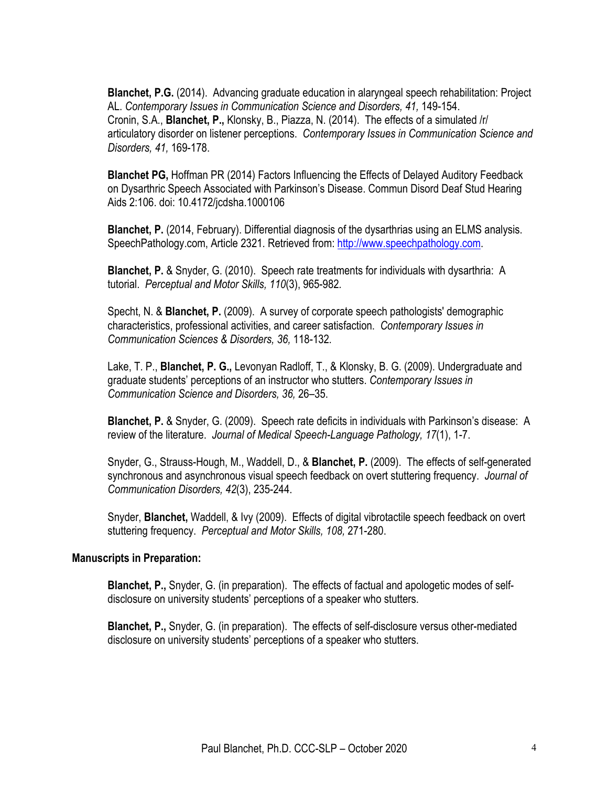**Blanchet, P.G.** (2014). Advancing graduate education in alaryngeal speech rehabilitation: Project AL. *Contemporary Issues in Communication Science and Disorders, 41,* 149-154. Cronin, S.A., **Blanchet, P.,** Klonsky, B., Piazza, N. (2014).The effects of a simulated /r/ articulatory disorder on listener perceptions. *Contemporary Issues in Communication Science and Disorders, 41,* 169-178.

**Blanchet PG,** Hoffman PR (2014) Factors Influencing the Effects of Delayed Auditory Feedback on Dysarthric Speech Associated with Parkinson's Disease. Commun Disord Deaf Stud Hearing Aids 2:106. doi: 10.4172/jcdsha.1000106

**Blanchet, P.** (2014, February). Differential diagnosis of the dysarthrias using an ELMS analysis. SpeechPathology.com, Article 2321. Retrieved from: http://www.speechpathology.com.

**Blanchet, P.** & Snyder, G. (2010). Speech rate treatments for individuals with dysarthria: A tutorial. *Perceptual and Motor Skills, 110*(3), 965-982*.*

Specht, N. & **Blanchet, P.** (2009). A survey of corporate speech pathologists' demographic characteristics, professional activities, and career satisfaction. *Contemporary Issues in Communication Sciences & Disorders, 36,* 118-132*.*

Lake, T. P., **Blanchet, P. G.,** Levonyan Radloff, T., & Klonsky, B. G. (2009). Undergraduate and graduate students' perceptions of an instructor who stutters. *Contemporary Issues in Communication Science and Disorders, 36,* 26–35.

**Blanchet, P.** & Snyder, G. (2009). Speech rate deficits in individuals with Parkinson's disease: A review of the literature. *Journal of Medical Speech-Language Pathology, 17*(1), 1-7.

Snyder, G., Strauss-Hough, M., Waddell, D., & **Blanchet, P.** (2009). The effects of self-generated synchronous and asynchronous visual speech feedback on overt stuttering frequency. *Journal of Communication Disorders, 42*(3), 235-244.

Snyder, **Blanchet,** Waddell, & Ivy (2009). Effects of digital vibrotactile speech feedback on overt stuttering frequency. *Perceptual and Motor Skills, 108,* 271-280.

### **Manuscripts in Preparation:**

**Blanchet, P.,** Snyder, G. (in preparation). The effects of factual and apologetic modes of selfdisclosure on university students' perceptions of a speaker who stutters.

**Blanchet, P.,** Snyder, G. (in preparation). The effects of self-disclosure versus other-mediated disclosure on university students' perceptions of a speaker who stutters.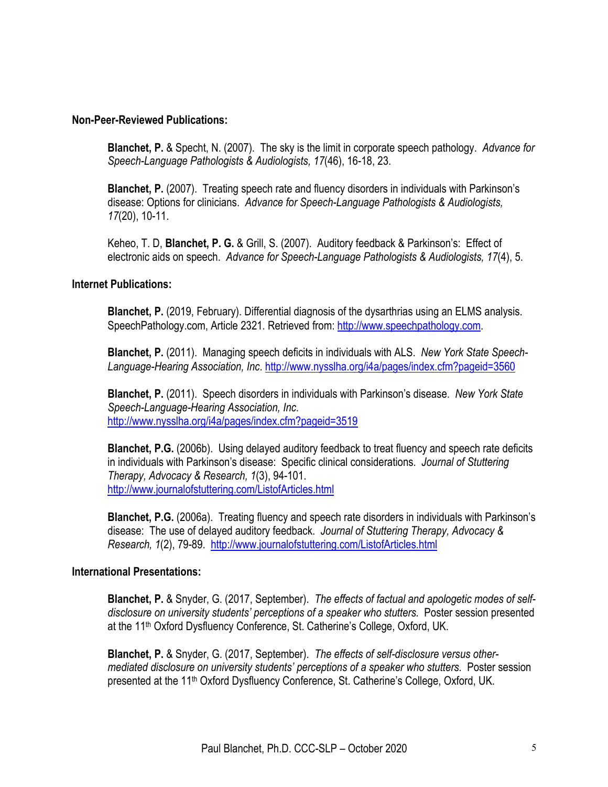#### **Non-Peer-Reviewed Publications:**

**Blanchet, P.** & Specht, N. (2007). The sky is the limit in corporate speech pathology. *Advance for Speech-Language Pathologists & Audiologists, 17*(46), 16-18, 23.

**Blanchet, P.** (2007). Treating speech rate and fluency disorders in individuals with Parkinson's disease: Options for clinicians. *Advance for Speech-Language Pathologists & Audiologists, 17*(20), 10-11.

Keheo, T. D, **Blanchet, P. G.** & Grill, S. (2007). Auditory feedback & Parkinson's: Effect of electronic aids on speech. *Advance for Speech-Language Pathologists & Audiologists, 17*(4), 5.

#### **Internet Publications:**

**Blanchet, P.** (2019, February). Differential diagnosis of the dysarthrias using an ELMS analysis. SpeechPathology.com, Article 2321. Retrieved from: http://www.speechpathology.com.

**Blanchet, P.** (2011). Managing speech deficits in individuals with ALS. *New York State Speech-Language-Hearing Association, Inc*. http://www.nysslha.org/i4a/pages/index.cfm?pageid=3560

**Blanchet, P.** (2011). Speech disorders in individuals with Parkinson's disease. *New York State Speech-Language-Hearing Association, Inc*. http://www.nysslha.org/i4a/pages/index.cfm?pageid=3519

**Blanchet, P.G.** (2006b). Using delayed auditory feedback to treat fluency and speech rate deficits in individuals with Parkinson's disease: Specific clinical considerations. *Journal of Stuttering Therapy, Advocacy & Research, 1*(3), 94-101. http://www.journalofstuttering.com/ListofArticles.html

**Blanchet, P.G.** (2006a). Treating fluency and speech rate disorders in individuals with Parkinson's disease: The use of delayed auditory feedback. *Journal of Stuttering Therapy, Advocacy & Research, 1*(2), 79-89. http://www.journalofstuttering.com/ListofArticles.html

#### **International Presentations:**

**Blanchet, P.** & Snyder, G. (2017, September). *The effects of factual and apologetic modes of selfdisclosure on university students' perceptions of a speaker who stutters.* Poster session presented at the 11<sup>th</sup> Oxford Dysfluency Conference, St. Catherine's College, Oxford, UK.

**Blanchet, P.** & Snyder, G. (2017, September). *The effects of self-disclosure versus othermediated disclosure on university students' perceptions of a speaker who stutters.* Poster session presented at the 11<sup>th</sup> Oxford Dysfluency Conference, St. Catherine's College, Oxford, UK.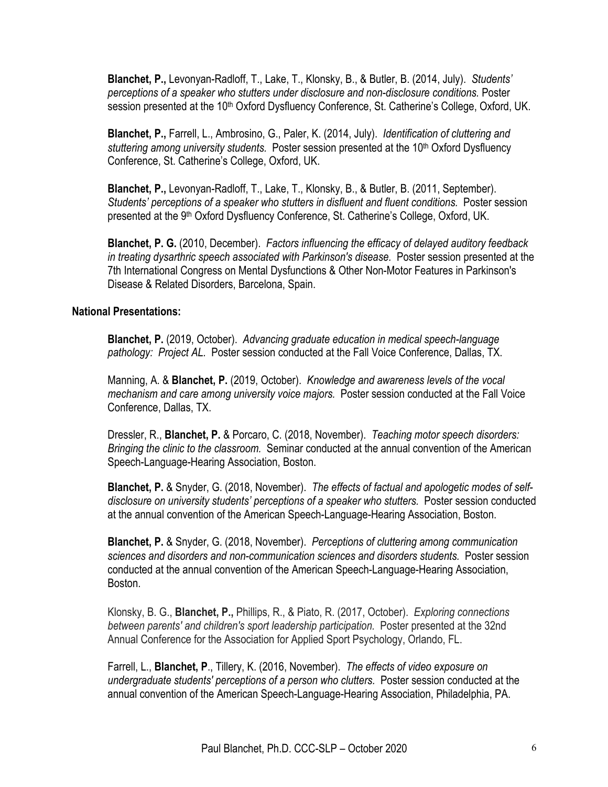**Blanchet, P.,** Levonyan-Radloff, T., Lake, T., Klonsky, B., & Butler, B. (2014, July). *Students' perceptions of a speaker who stutters under disclosure and non-disclosure conditions.* Poster session presented at the 10<sup>th</sup> Oxford Dysfluency Conference, St. Catherine's College, Oxford, UK.

**Blanchet, P.,** Farrell, L., Ambrosino, G., Paler, K. (2014, July). *Identification of cluttering and stuttering among university students.* Poster session presented at the 10th Oxford Dysfluency Conference, St. Catherine's College, Oxford, UK.

**Blanchet, P.,** Levonyan-Radloff, T., Lake, T., Klonsky, B., & Butler, B. (2011, September). *Students' perceptions of a speaker who stutters in disfluent and fluent conditions.* Poster session presented at the 9th Oxford Dysfluency Conference, St. Catherine's College, Oxford, UK.

**Blanchet, P. G.** (2010, December). *Factors influencing the efficacy of delayed auditory feedback in treating dysarthric speech associated with Parkinson's disease.* Poster session presented at the 7th International Congress on Mental Dysfunctions & Other Non-Motor Features in Parkinson's Disease & Related Disorders, Barcelona, Spain.

#### **National Presentations:**

**Blanchet, P.** (2019, October). *Advancing graduate education in medical speech-language pathology: Project AL.* Poster session conducted at the Fall Voice Conference, Dallas, TX.

Manning, A. & **Blanchet, P.** (2019, October). *Knowledge and awareness levels of the vocal mechanism and care among university voice majors.* Poster session conducted at the Fall Voice Conference, Dallas, TX.

Dressler, R., **Blanchet, P.** & Porcaro, C. (2018, November). *Teaching motor speech disorders: Bringing the clinic to the classroom.* Seminar conducted at the annual convention of the American Speech-Language-Hearing Association, Boston.

**Blanchet, P.** & Snyder, G. (2018, November). *The effects of factual and apologetic modes of selfdisclosure on university students' perceptions of a speaker who stutters.* Poster session conducted at the annual convention of the American Speech-Language-Hearing Association, Boston.

**Blanchet, P.** & Snyder, G. (2018, November). *Perceptions of cluttering among communication sciences and disorders and non-communication sciences and disorders students.* Poster session conducted at the annual convention of the American Speech-Language-Hearing Association, Boston.

Klonsky, B. G., **Blanchet, P.,** Phillips, R., & Piato, R. (2017, October). *Exploring connections between parents' and children's sport leadership participation.* Poster presented at the 32nd Annual Conference for the Association for Applied Sport Psychology, Orlando, FL.

Farrell, L., **Blanchet, P**., Tillery, K. (2016, November). *The effects of video exposure on undergraduate students' perceptions of a person who clutters.* Poster session conducted at the annual convention of the American Speech-Language-Hearing Association, Philadelphia, PA.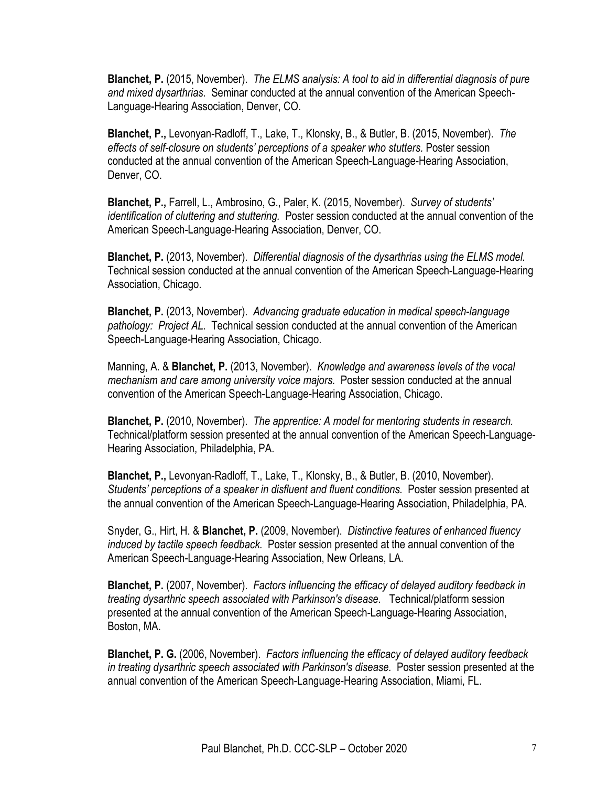**Blanchet, P.** (2015, November). *The ELMS analysis: A tool to aid in differential diagnosis of pure and mixed dysarthrias.* Seminar conducted at the annual convention of the American Speech-Language-Hearing Association, Denver, CO.

**Blanchet, P.,** Levonyan-Radloff, T., Lake, T., Klonsky, B., & Butler, B. (2015, November). *The effects of self-closure on students' perceptions of a speaker who stutters.* Poster session conducted at the annual convention of the American Speech-Language-Hearing Association, Denver, CO.

**Blanchet, P.,** Farrell, L., Ambrosino, G., Paler, K. (2015, November). *Survey of students' identification of cluttering and stuttering.* Poster session conducted at the annual convention of the American Speech-Language-Hearing Association, Denver, CO.

**Blanchet, P.** (2013, November). *Differential diagnosis of the dysarthrias using the ELMS model.*  Technical session conducted at the annual convention of the American Speech-Language-Hearing Association, Chicago.

**Blanchet, P.** (2013, November). *Advancing graduate education in medical speech-language pathology: Project AL.* Technical session conducted at the annual convention of the American Speech-Language-Hearing Association, Chicago.

Manning, A. & **Blanchet, P.** (2013, November). *Knowledge and awareness levels of the vocal mechanism and care among university voice majors.* Poster session conducted at the annual convention of the American Speech-Language-Hearing Association, Chicago.

**Blanchet, P.** (2010, November). *The apprentice: A model for mentoring students in research.*  Technical/platform session presented at the annual convention of the American Speech-Language-Hearing Association, Philadelphia, PA.

**Blanchet, P.,** Levonyan-Radloff, T., Lake, T., Klonsky, B., & Butler, B. (2010, November). *Students' perceptions of a speaker in disfluent and fluent conditions.* Poster session presented at the annual convention of the American Speech-Language-Hearing Association, Philadelphia, PA.

Snyder, G., Hirt, H. & **Blanchet, P.** (2009, November). *Distinctive features of enhanced fluency induced by tactile speech feedback.* Poster session presented at the annual convention of the American Speech-Language-Hearing Association, New Orleans, LA.

**Blanchet, P.** (2007, November). *Factors influencing the efficacy of delayed auditory feedback in treating dysarthric speech associated with Parkinson's disease.* Technical/platform session presented at the annual convention of the American Speech-Language-Hearing Association, Boston, MA.

**Blanchet, P. G.** (2006, November). *Factors influencing the efficacy of delayed auditory feedback in treating dysarthric speech associated with Parkinson's disease.* Poster session presented at the annual convention of the American Speech-Language-Hearing Association, Miami, FL.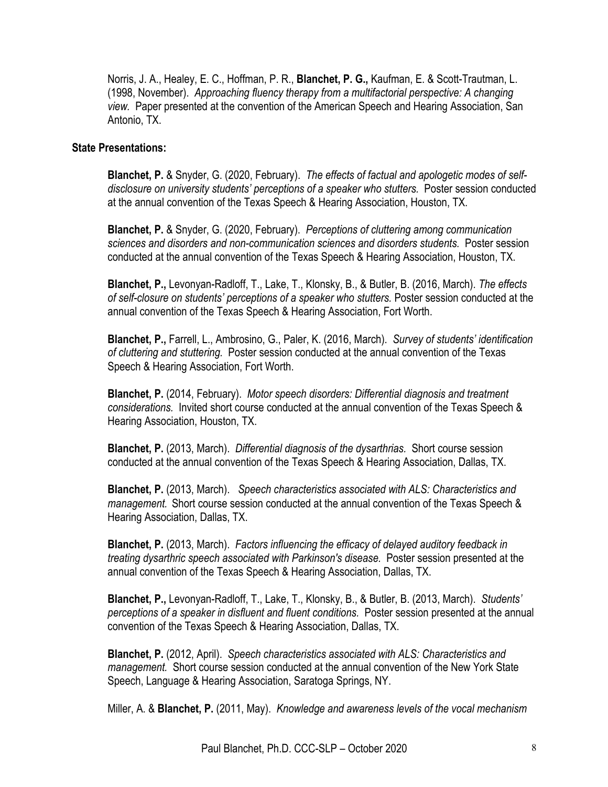Norris, J. A., Healey, E. C., Hoffman, P. R., **Blanchet, P. G.,** Kaufman, E. & Scott-Trautman, L. (1998, November). *Approaching fluency therapy from a multifactorial perspective: A changing view.* Paper presented at the convention of the American Speech and Hearing Association, San Antonio, TX.

#### **State Presentations:**

**Blanchet, P.** & Snyder, G. (2020, February). *The effects of factual and apologetic modes of self*disclosure on university students' perceptions of a speaker who stutters. Poster session conducted at the annual convention of the Texas Speech & Hearing Association, Houston, TX.

**Blanchet, P.** & Snyder, G. (2020, February). *Perceptions of cluttering among communication sciences and disorders and non-communication sciences and disorders students.* Poster session conducted at the annual convention of the Texas Speech & Hearing Association, Houston, TX.

**Blanchet, P.,** Levonyan-Radloff, T., Lake, T., Klonsky, B., & Butler, B. (2016, March). *The effects of self-closure on students' perceptions of a speaker who stutters.* Poster session conducted at the annual convention of the Texas Speech & Hearing Association, Fort Worth.

**Blanchet, P.,** Farrell, L., Ambrosino, G., Paler, K. (2016, March). *Survey of students' identification of cluttering and stuttering.* Poster session conducted at the annual convention of the Texas Speech & Hearing Association, Fort Worth.

**Blanchet, P.** (2014, February). *Motor speech disorders: Differential diagnosis and treatment considerations.* Invited short course conducted at the annual convention of the Texas Speech & Hearing Association, Houston, TX.

**Blanchet, P.** (2013, March). *Differential diagnosis of the dysarthrias.* Short course session conducted at the annual convention of the Texas Speech & Hearing Association, Dallas, TX.

**Blanchet, P.** (2013, March). *Speech characteristics associated with ALS: Characteristics and management.* Short course session conducted at the annual convention of the Texas Speech & Hearing Association, Dallas, TX.

**Blanchet, P.** (2013, March). *Factors influencing the efficacy of delayed auditory feedback in treating dysarthric speech associated with Parkinson's disease.* Poster session presented at the annual convention of the Texas Speech & Hearing Association, Dallas, TX.

**Blanchet, P.,** Levonyan-Radloff, T., Lake, T., Klonsky, B., & Butler, B. (2013, March). *Students' perceptions of a speaker in disfluent and fluent conditions.* Poster session presented at the annual convention of the Texas Speech & Hearing Association, Dallas, TX.

**Blanchet, P.** (2012, April). *Speech characteristics associated with ALS: Characteristics and management.* Short course session conducted at the annual convention of the New York State Speech, Language & Hearing Association, Saratoga Springs, NY.

Miller, A. & **Blanchet, P.** (2011, May). *Knowledge and awareness levels of the vocal mechanism*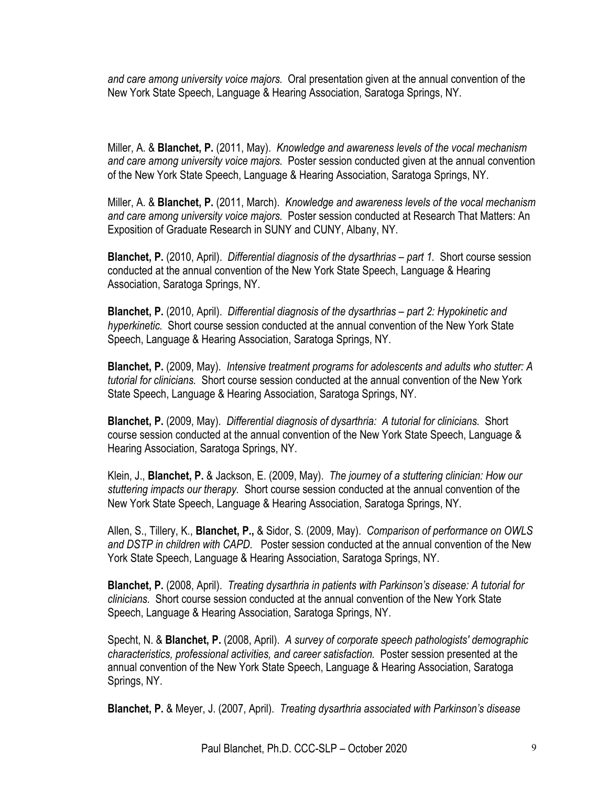*and care among university voice majors.* Oral presentation given at the annual convention of the New York State Speech, Language & Hearing Association, Saratoga Springs, NY.

Miller, A. & **Blanchet, P.** (2011, May). *Knowledge and awareness levels of the vocal mechanism and care among university voice majors.* Poster session conducted given at the annual convention of the New York State Speech, Language & Hearing Association, Saratoga Springs, NY.

Miller, A. & **Blanchet, P.** (2011, March). *Knowledge and awareness levels of the vocal mechanism and care among university voice majors.* Poster session conducted at Research That Matters: An Exposition of Graduate Research in SUNY and CUNY, Albany, NY.

**Blanchet, P.** (2010, April). *Differential diagnosis of the dysarthrias – part 1.* Short course session conducted at the annual convention of the New York State Speech, Language & Hearing Association, Saratoga Springs, NY.

**Blanchet, P.** (2010, April). *Differential diagnosis of the dysarthrias – part 2: Hypokinetic and hyperkinetic.* Short course session conducted at the annual convention of the New York State Speech, Language & Hearing Association, Saratoga Springs, NY.

**Blanchet, P.** (2009, May). *Intensive treatment programs for adolescents and adults who stutter: A tutorial for clinicians.* Short course session conducted at the annual convention of the New York State Speech, Language & Hearing Association, Saratoga Springs, NY.

**Blanchet, P.** (2009, May). *Differential diagnosis of dysarthria: A tutorial for clinicians.* Short course session conducted at the annual convention of the New York State Speech, Language & Hearing Association, Saratoga Springs, NY.

Klein, J., **Blanchet, P.** & Jackson, E. (2009, May). *The journey of a stuttering clinician: How our stuttering impacts our therapy.* Short course session conducted at the annual convention of the New York State Speech, Language & Hearing Association, Saratoga Springs, NY.

Allen, S., Tillery, K., **Blanchet, P.,** & Sidor, S. (2009, May). *Comparison of performance on OWLS and DSTP in children with CAPD.* Poster session conducted at the annual convention of the New York State Speech, Language & Hearing Association, Saratoga Springs, NY.

**Blanchet, P.** (2008, April). *Treating dysarthria in patients with Parkinson's disease: A tutorial for clinicians.* Short course session conducted at the annual convention of the New York State Speech, Language & Hearing Association, Saratoga Springs, NY.

Specht, N. & **Blanchet, P.** (2008, April). *A survey of corporate speech pathologists' demographic characteristics, professional activities, and career satisfaction.* Poster session presented at the annual convention of the New York State Speech, Language & Hearing Association, Saratoga Springs, NY.

**Blanchet, P.** & Meyer, J. (2007, April). *Treating dysarthria associated with Parkinson's disease*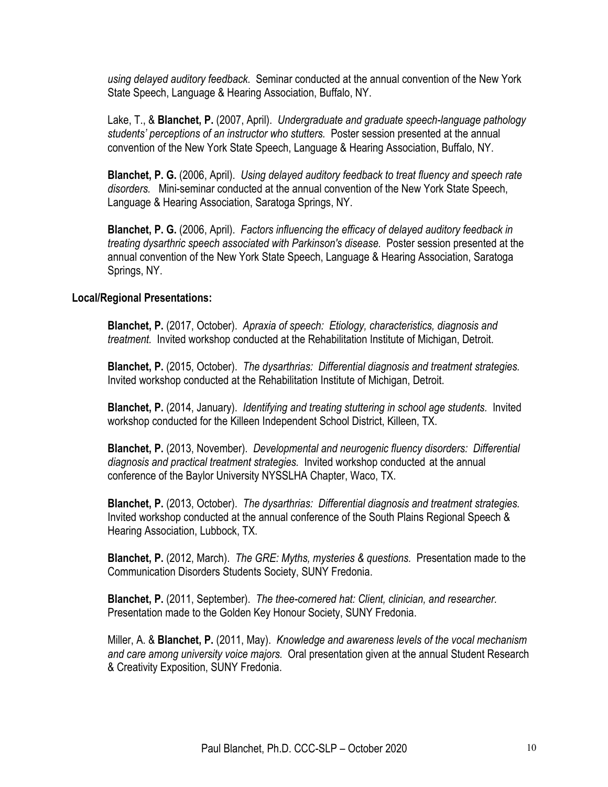*using delayed auditory feedback.* Seminar conducted at the annual convention of the New York State Speech, Language & Hearing Association, Buffalo, NY.

Lake, T., & **Blanchet, P.** (2007, April). *Undergraduate and graduate speech-language pathology students' perceptions of an instructor who stutters.* Poster session presented at the annual convention of the New York State Speech, Language & Hearing Association, Buffalo, NY.

**Blanchet, P. G.** (2006, April). *Using delayed auditory feedback to treat fluency and speech rate disorders.* Mini-seminar conducted at the annual convention of the New York State Speech, Language & Hearing Association, Saratoga Springs, NY.

**Blanchet, P. G.** (2006, April). *Factors influencing the efficacy of delayed auditory feedback in treating dysarthric speech associated with Parkinson's disease.* Poster session presented at the annual convention of the New York State Speech, Language & Hearing Association, Saratoga Springs, NY.

## **Local/Regional Presentations:**

**Blanchet, P.** (2017, October). *Apraxia of speech: Etiology, characteristics, diagnosis and treatment.* Invited workshop conducted at the Rehabilitation Institute of Michigan, Detroit.

**Blanchet, P.** (2015, October). *The dysarthrias: Differential diagnosis and treatment strategies.*  Invited workshop conducted at the Rehabilitation Institute of Michigan, Detroit.

**Blanchet, P.** (2014, January). *Identifying and treating stuttering in school age students.* Invited workshop conducted for the Killeen Independent School District, Killeen, TX.

**Blanchet, P.** (2013, November). *Developmental and neurogenic fluency disorders: Differential diagnosis and practical treatment strategies.* Invited workshop conducted at the annual conference of the Baylor University NYSSLHA Chapter, Waco, TX.

**Blanchet, P.** (2013, October). *The dysarthrias: Differential diagnosis and treatment strategies.*  Invited workshop conducted at the annual conference of the South Plains Regional Speech & Hearing Association, Lubbock, TX.

**Blanchet, P.** (2012, March). *The GRE: Myths, mysteries & questions.* Presentation made to the Communication Disorders Students Society, SUNY Fredonia.

**Blanchet, P.** (2011, September). *The thee-cornered hat: Client, clinician, and researcher.*  Presentation made to the Golden Key Honour Society, SUNY Fredonia.

Miller, A. & **Blanchet, P.** (2011, May). *Knowledge and awareness levels of the vocal mechanism and care among university voice majors.* Oral presentation given at the annual Student Research & Creativity Exposition, SUNY Fredonia.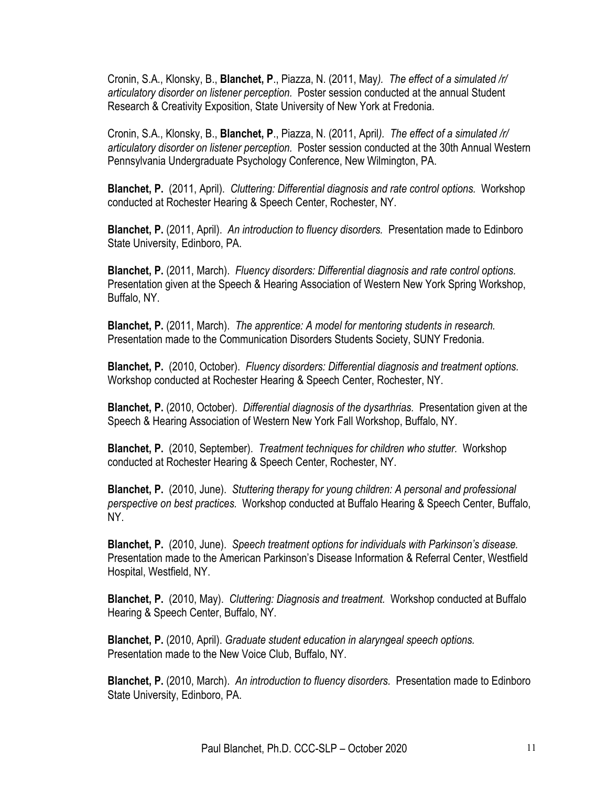Cronin, S.A., Klonsky, B., **Blanchet, P**., Piazza, N. (2011, May*). The effect of a simulated /r/ articulatory disorder on listener perception.* Poster session conducted at the annual Student Research & Creativity Exposition, State University of New York at Fredonia.

Cronin, S.A., Klonsky, B., **Blanchet, P**., Piazza, N. (2011, April*). The effect of a simulated /r/ articulatory disorder on listener perception.* Poster session conducted at the 30th Annual Western Pennsylvania Undergraduate Psychology Conference, New Wilmington, PA.

**Blanchet, P.** (2011, April). *Cluttering: Differential diagnosis and rate control options.* Workshop conducted at Rochester Hearing & Speech Center, Rochester, NY.

**Blanchet, P.** (2011, April). *An introduction to fluency disorders.* Presentation made to Edinboro State University, Edinboro, PA.

**Blanchet, P.** (2011, March). *Fluency disorders: Differential diagnosis and rate control options.*  Presentation given at the Speech & Hearing Association of Western New York Spring Workshop, Buffalo, NY.

**Blanchet, P.** (2011, March). *The apprentice: A model for mentoring students in research.*  Presentation made to the Communication Disorders Students Society, SUNY Fredonia.

**Blanchet, P.** (2010, October). *Fluency disorders: Differential diagnosis and treatment options.* Workshop conducted at Rochester Hearing & Speech Center, Rochester, NY.

**Blanchet, P.** (2010, October). *Differential diagnosis of the dysarthrias.* Presentation given at the Speech & Hearing Association of Western New York Fall Workshop, Buffalo, NY.

**Blanchet, P.** (2010, September). *Treatment techniques for children who stutter.* Workshop conducted at Rochester Hearing & Speech Center, Rochester, NY.

**Blanchet, P.** (2010, June). *Stuttering therapy for young children: A personal and professional perspective on best practices.* Workshop conducted at Buffalo Hearing & Speech Center, Buffalo, NY.

**Blanchet, P.** (2010, June). *Speech treatment options for individuals with Parkinson's disease.*  Presentation made to the American Parkinson's Disease Information & Referral Center, Westfield Hospital, Westfield, NY.

**Blanchet, P.** (2010, May). *Cluttering: Diagnosis and treatment.* Workshop conducted at Buffalo Hearing & Speech Center, Buffalo, NY.

**Blanchet, P.** (2010, April). *Graduate student education in alaryngeal speech options.* Presentation made to the New Voice Club, Buffalo, NY.

**Blanchet, P.** (2010, March). *An introduction to fluency disorders.* Presentation made to Edinboro State University, Edinboro, PA.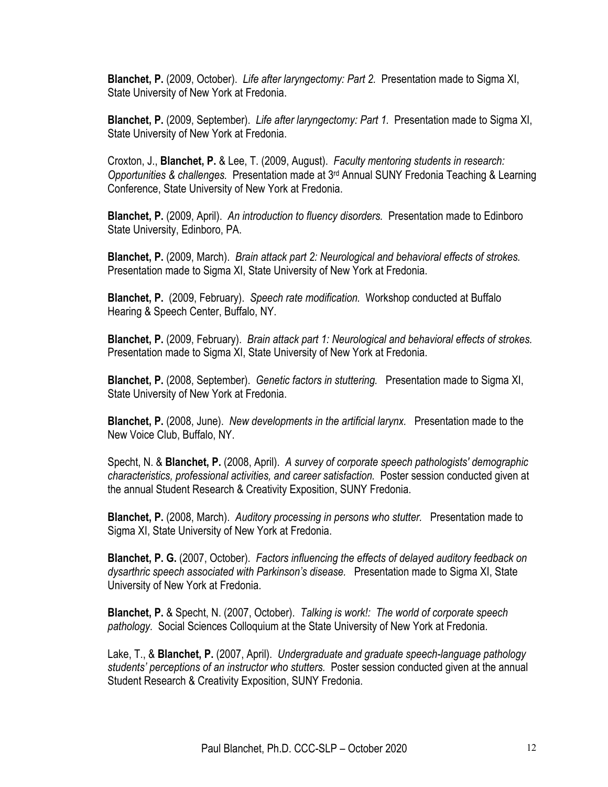**Blanchet, P.** (2009, October). *Life after laryngectomy: Part 2.* Presentation made to Sigma XI, State University of New York at Fredonia.

**Blanchet, P.** (2009, September). *Life after laryngectomy: Part 1.* Presentation made to Sigma XI, State University of New York at Fredonia.

Croxton, J., **Blanchet, P.** & Lee, T. (2009, August). *Faculty mentoring students in research: Opportunities & challenges.* Presentation made at 3rd Annual SUNY Fredonia Teaching & Learning Conference, State University of New York at Fredonia.

**Blanchet, P.** (2009, April). *An introduction to fluency disorders.* Presentation made to Edinboro State University, Edinboro, PA.

**Blanchet, P.** (2009, March). *Brain attack part 2: Neurological and behavioral effects of strokes.* Presentation made to Sigma XI, State University of New York at Fredonia.

**Blanchet, P.** (2009, February). *Speech rate modification.* Workshop conducted at Buffalo Hearing & Speech Center, Buffalo, NY.

**Blanchet, P.** (2009, February). *Brain attack part 1: Neurological and behavioral effects of strokes.* Presentation made to Sigma XI, State University of New York at Fredonia.

**Blanchet, P.** (2008, September). *Genetic factors in stuttering.* Presentation made to Sigma XI, State University of New York at Fredonia.

**Blanchet, P.** (2008, June). *New developments in the artificial larynx.* Presentation made to the New Voice Club, Buffalo, NY.

Specht, N. & **Blanchet, P.** (2008, April). *A survey of corporate speech pathologists' demographic characteristics, professional activities, and career satisfaction.* Poster session conducted given at the annual Student Research & Creativity Exposition, SUNY Fredonia.

**Blanchet, P.** (2008, March). *Auditory processing in persons who stutter.* Presentation made to Sigma XI, State University of New York at Fredonia.

**Blanchet, P. G.** (2007, October). *Factors influencing the effects of delayed auditory feedback on dysarthric speech associated with Parkinson's disease.* Presentation made to Sigma XI, State University of New York at Fredonia.

**Blanchet, P.** & Specht, N. (2007, October). *Talking is work!: The world of corporate speech pathology.* Social Sciences Colloquium at the State University of New York at Fredonia.

Lake, T., & **Blanchet, P.** (2007, April). *Undergraduate and graduate speech-language pathology students' perceptions of an instructor who stutters.* Poster session conducted given at the annual Student Research & Creativity Exposition, SUNY Fredonia.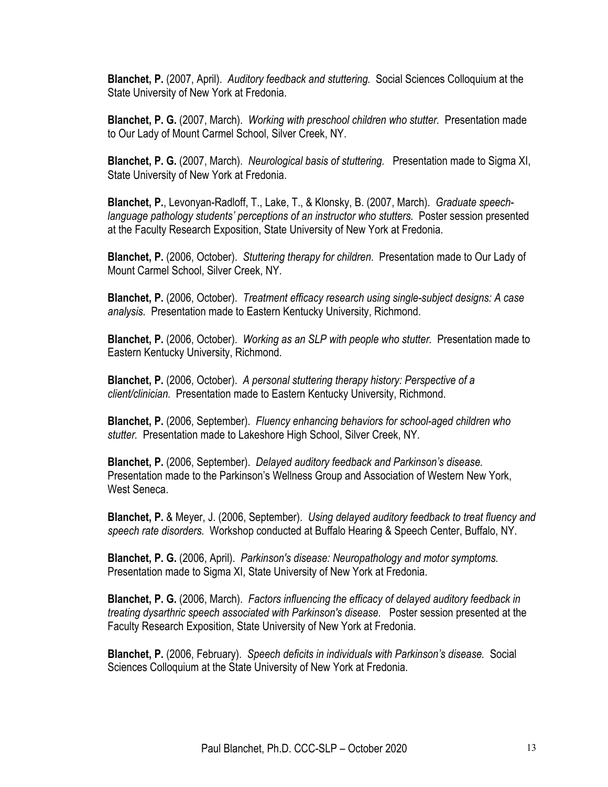**Blanchet, P.** (2007, April). *Auditory feedback and stuttering.* Social Sciences Colloquium at the State University of New York at Fredonia.

**Blanchet, P. G.** (2007, March). *Working with preschool children who stutter.* Presentation made to Our Lady of Mount Carmel School, Silver Creek, NY.

**Blanchet, P. G.** (2007, March). *Neurological basis of stuttering.* Presentation made to Sigma XI, State University of New York at Fredonia.

**Blanchet, P.**, Levonyan-Radloff, T., Lake, T., & Klonsky, B. (2007, March). *Graduate speechlanguage pathology students' perceptions of an instructor who stutters.* Poster session presented at the Faculty Research Exposition, State University of New York at Fredonia.

**Blanchet, P.** (2006, October). *Stuttering therapy for children*. Presentation made to Our Lady of Mount Carmel School, Silver Creek, NY.

**Blanchet, P.** (2006, October). *Treatment efficacy research using single-subject designs: A case analysis.* Presentation made to Eastern Kentucky University, Richmond.

**Blanchet, P.** (2006, October). *Working as an SLP with people who stutter.* Presentation made to Eastern Kentucky University, Richmond.

**Blanchet, P.** (2006, October). *A personal stuttering therapy history: Perspective of a client/clinician.* Presentation made to Eastern Kentucky University, Richmond.

**Blanchet, P.** (2006, September). *Fluency enhancing behaviors for school-aged children who stutter.* Presentation made to Lakeshore High School, Silver Creek, NY.

**Blanchet, P.** (2006, September). *Delayed auditory feedback and Parkinson's disease.* Presentation made to the Parkinson's Wellness Group and Association of Western New York, West Seneca

**Blanchet, P.** & Meyer, J. (2006, September). *Using delayed auditory feedback to treat fluency and speech rate disorders.* Workshop conducted at Buffalo Hearing & Speech Center, Buffalo, NY.

**Blanchet, P. G.** (2006, April). *Parkinson's disease: Neuropathology and motor symptoms.* Presentation made to Sigma XI, State University of New York at Fredonia.

**Blanchet, P. G.** (2006, March). *Factors influencing the efficacy of delayed auditory feedback in treating dysarthric speech associated with Parkinson's disease.* Poster session presented at the Faculty Research Exposition, State University of New York at Fredonia.

**Blanchet, P.** (2006, February). *Speech deficits in individuals with Parkinson's disease.* Social Sciences Colloquium at the State University of New York at Fredonia.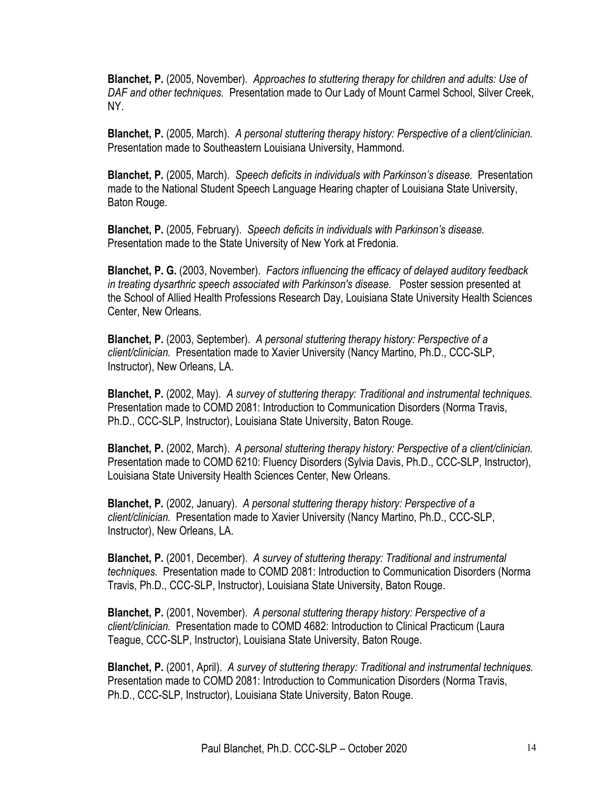**Blanchet, P.** (2005, November). *Approaches to stuttering therapy for children and adults: Use of DAF and other techniques.* Presentation made to Our Lady of Mount Carmel School, Silver Creek, NY.

**Blanchet, P.** (2005, March). *A personal stuttering therapy history: Perspective of a client/clinician.* Presentation made to Southeastern Louisiana University, Hammond.

**Blanchet, P.** (2005, March). *Speech deficits in individuals with Parkinson's disease.* Presentation made to the National Student Speech Language Hearing chapter of Louisiana State University, Baton Rouge.

**Blanchet, P.** (2005, February). *Speech deficits in individuals with Parkinson's disease.* Presentation made to the State University of New York at Fredonia.

**Blanchet, P. G.** (2003, November). *Factors influencing the efficacy of delayed auditory feedback in treating dysarthric speech associated with Parkinson's disease.* Poster session presented at the School of Allied Health Professions Research Day, Louisiana State University Health Sciences Center, New Orleans.

**Blanchet, P.** (2003, September). *A personal stuttering therapy history: Perspective of a client/clinician.* Presentation made to Xavier University (Nancy Martino, Ph.D., CCC-SLP, Instructor), New Orleans, LA.

**Blanchet, P.** (2002, May). *A survey of stuttering therapy: Traditional and instrumental techniques.* Presentation made to COMD 2081: Introduction to Communication Disorders (Norma Travis, Ph.D., CCC-SLP, Instructor), Louisiana State University, Baton Rouge.

**Blanchet, P.** (2002, March). *A personal stuttering therapy history: Perspective of a client/clinician.* Presentation made to COMD 6210: Fluency Disorders (Sylvia Davis, Ph.D., CCC-SLP, Instructor), Louisiana State University Health Sciences Center, New Orleans.

**Blanchet, P.** (2002, January). *A personal stuttering therapy history: Perspective of a client/clinician.* Presentation made to Xavier University (Nancy Martino, Ph.D., CCC-SLP, Instructor), New Orleans, LA.

**Blanchet, P.** (2001, December). *A survey of stuttering therapy: Traditional and instrumental techniques.* Presentation made to COMD 2081: Introduction to Communication Disorders (Norma Travis, Ph.D., CCC-SLP, Instructor), Louisiana State University, Baton Rouge.

**Blanchet, P.** (2001, November). *A personal stuttering therapy history: Perspective of a client/clinician.* Presentation made to COMD 4682: Introduction to Clinical Practicum (Laura Teague, CCC-SLP, Instructor), Louisiana State University, Baton Rouge.

**Blanchet, P.** (2001, April). *A survey of stuttering therapy: Traditional and instrumental techniques.* Presentation made to COMD 2081: Introduction to Communication Disorders (Norma Travis, Ph.D., CCC-SLP, Instructor), Louisiana State University, Baton Rouge.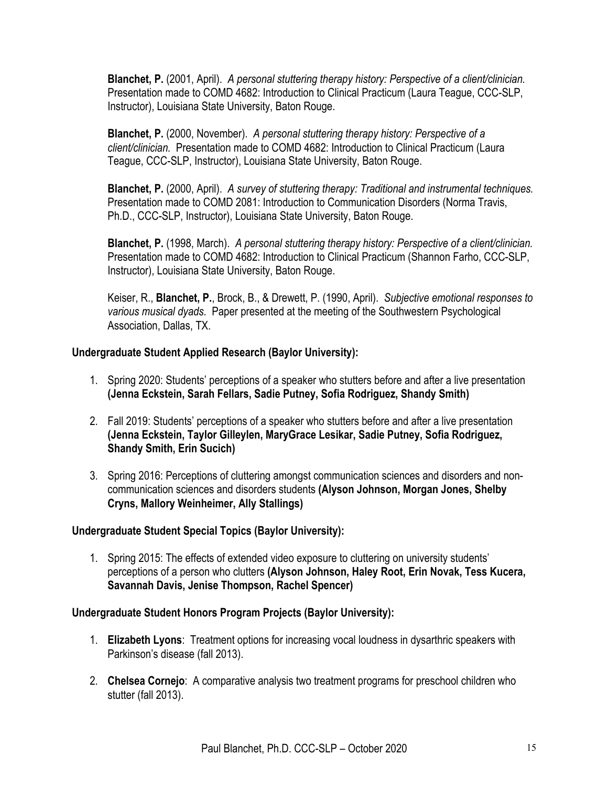**Blanchet, P.** (2001, April). *A personal stuttering therapy history: Perspective of a client/clinician.* Presentation made to COMD 4682: Introduction to Clinical Practicum (Laura Teague, CCC-SLP, Instructor), Louisiana State University, Baton Rouge.

**Blanchet, P.** (2000, November). *A personal stuttering therapy history: Perspective of a client/clinician.* Presentation made to COMD 4682: Introduction to Clinical Practicum (Laura Teague, CCC-SLP, Instructor), Louisiana State University, Baton Rouge.

**Blanchet, P.** (2000, April). *A survey of stuttering therapy: Traditional and instrumental techniques.*  Presentation made to COMD 2081: Introduction to Communication Disorders (Norma Travis, Ph.D., CCC-SLP, Instructor), Louisiana State University, Baton Rouge.

**Blanchet, P.** (1998, March). *A personal stuttering therapy history: Perspective of a client/clinician.*  Presentation made to COMD 4682: Introduction to Clinical Practicum (Shannon Farho, CCC-SLP, Instructor), Louisiana State University, Baton Rouge.

Keiser, R., **Blanchet, P.**, Brock, B., & Drewett, P. (1990, April). *Subjective emotional responses to various musical dyads.* Paper presented at the meeting of the Southwestern Psychological Association, Dallas, TX.

# **Undergraduate Student Applied Research (Baylor University):**

- 1. Spring 2020: Students' perceptions of a speaker who stutters before and after a live presentation **(Jenna Eckstein, Sarah Fellars, Sadie Putney, Sofia Rodriguez, Shandy Smith)**
- 2. Fall 2019: Students' perceptions of a speaker who stutters before and after a live presentation **(Jenna Eckstein, Taylor Gilleylen, MaryGrace Lesikar, Sadie Putney, Sofia Rodriguez, Shandy Smith, Erin Sucich)**
- 3. Spring 2016: Perceptions of cluttering amongst communication sciences and disorders and noncommunication sciences and disorders students **(Alyson Johnson, Morgan Jones, Shelby Cryns, Mallory Weinheimer, Ally Stallings)**

# **Undergraduate Student Special Topics (Baylor University):**

1. Spring 2015: The effects of extended video exposure to cluttering on university students' perceptions of a person who clutters **(Alyson Johnson, Haley Root, Erin Novak, Tess Kucera, Savannah Davis, Jenise Thompson, Rachel Spencer)**

# **Undergraduate Student Honors Program Projects (Baylor University):**

- 1. **Elizabeth Lyons**: Treatment options for increasing vocal loudness in dysarthric speakers with Parkinson's disease (fall 2013).
- 2. **Chelsea Cornejo**: A comparative analysis two treatment programs for preschool children who stutter (fall 2013).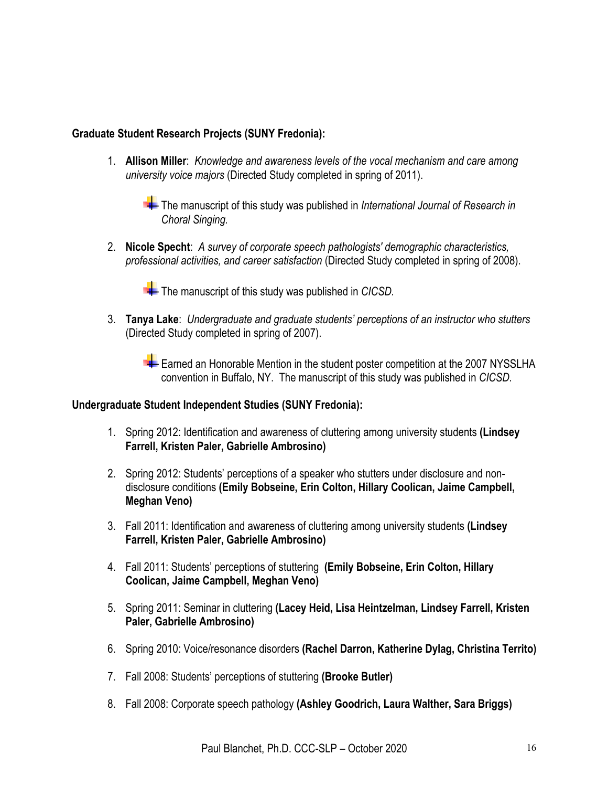## **Graduate Student Research Projects (SUNY Fredonia):**

1. **Allison Miller**: *Knowledge and awareness levels of the vocal mechanism and care among university voice majors* (Directed Study completed in spring of 2011).

The manuscript of this study was published in *International Journal of Research in Choral Singing.*

2. **Nicole Specht**: *A survey of corporate speech pathologists' demographic characteristics, professional activities, and career satisfaction* (Directed Study completed in spring of 2008).

The manuscript of this study was published in *CICSD*.

3. **Tanya Lake**: *Undergraduate and graduate students' perceptions of an instructor who stutters* (Directed Study completed in spring of 2007).

Earned an Honorable Mention in the student poster competition at the 2007 NYSSLHA convention in Buffalo, NY. The manuscript of this study was published in *CICSD.*

### **Undergraduate Student Independent Studies (SUNY Fredonia):**

- 1. Spring 2012: Identification and awareness of cluttering among university students **(Lindsey Farrell, Kristen Paler, Gabrielle Ambrosino)**
- 2. Spring 2012: Students' perceptions of a speaker who stutters under disclosure and nondisclosure conditions **(Emily Bobseine, Erin Colton, Hillary Coolican, Jaime Campbell, Meghan Veno)**
- 3. Fall 2011: Identification and awareness of cluttering among university students **(Lindsey Farrell, Kristen Paler, Gabrielle Ambrosino)**
- 4. Fall 2011: Students' perceptions of stuttering **(Emily Bobseine, Erin Colton, Hillary Coolican, Jaime Campbell, Meghan Veno)**
- 5. Spring 2011: Seminar in cluttering **(Lacey Heid, Lisa Heintzelman, Lindsey Farrell, Kristen Paler, Gabrielle Ambrosino)**
- 6. Spring 2010: Voice/resonance disorders **(Rachel Darron, Katherine Dylag, Christina Territo)**
- 7. Fall 2008: Students' perceptions of stuttering **(Brooke Butler)**
- 8. Fall 2008: Corporate speech pathology **(Ashley Goodrich, Laura Walther, Sara Briggs)**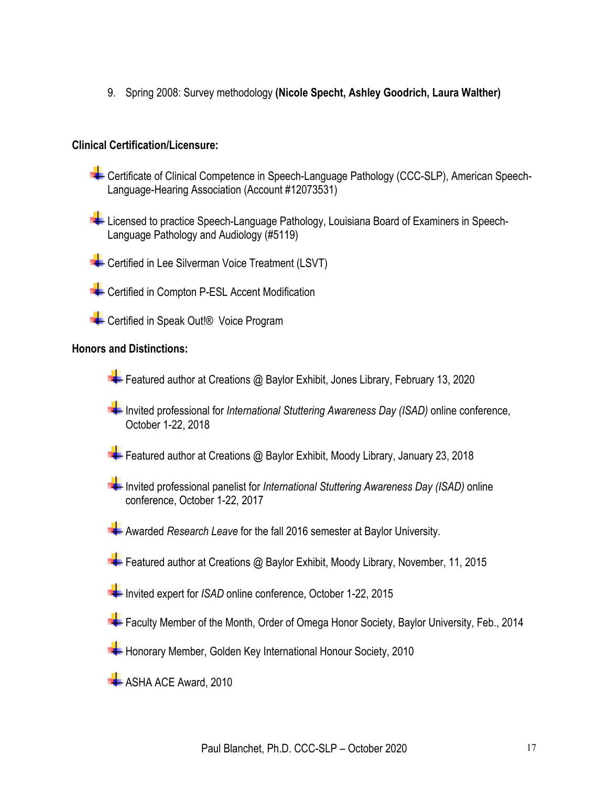9. Spring 2008: Survey methodology **(Nicole Specht, Ashley Goodrich, Laura Walther)**

## **Clinical Certification/Licensure:**

- Certificate of Clinical Competence in Speech-Language Pathology (CCC-SLP), American Speech-Language-Hearing Association (Account #12073531)
- Licensed to practice Speech-Language Pathology, Louisiana Board of Examiners in Speech-Language Pathology and Audiology (#5119)
- Certified in Lee Silverman Voice Treatment (LSVT)
- **Certified in Compton P-ESL Accent Modification**
- **E** Certified in Speak Out!® Voice Program

### **Honors and Distinctions:**

- Featured author at Creations @ Baylor Exhibit, Jones Library, February 13, 2020
- Invited professional for *International Stuttering Awareness Day (ISAD)* online conference, October 1-22, 2018
- Featured author at Creations @ Baylor Exhibit, Moody Library, January 23, 2018
- Invited professional panelist for *International Stuttering Awareness Day (ISAD)* online conference, October 1-22, 2017
- Awarded *Research Leave* for the fall 2016 semester at Baylor University.
- Featured author at Creations @ Baylor Exhibit, Moody Library, November, 11, 2015
- Invited expert for *ISAD* online conference, October 1-22, 2015
- Faculty Member of the Month, Order of Omega Honor Society, Baylor University, Feb., 2014
- Honorary Member, Golden Key International Honour Society, 2010
- $\blacktriangleright$  ASHA ACE Award, 2010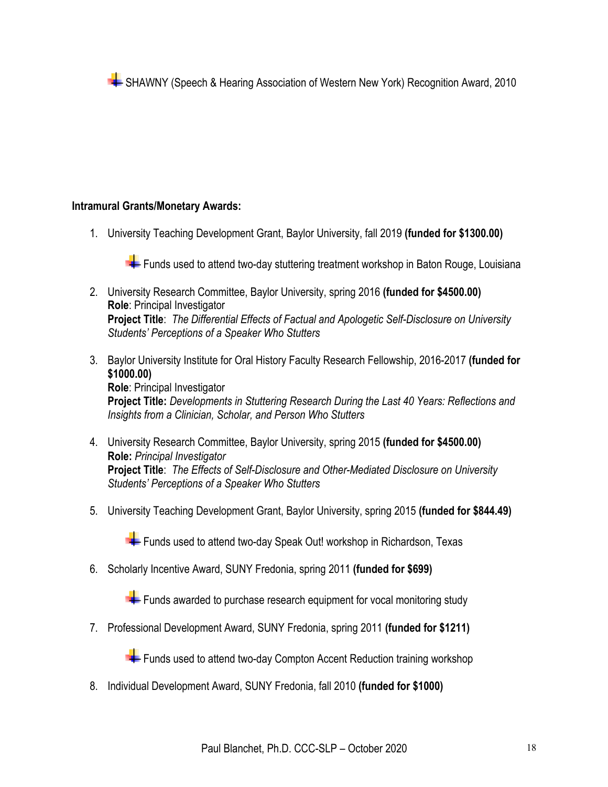SHAWNY (Speech & Hearing Association of Western New York) Recognition Award, 2010

## **Intramural Grants/Monetary Awards:**

1. University Teaching Development Grant, Baylor University, fall 2019 **(funded for \$1300.00)**

Funds used to attend two-day stuttering treatment workshop in Baton Rouge, Louisiana

- 2. University Research Committee, Baylor University, spring 2016 **(funded for \$4500.00) Role**: Principal Investigator **Project Title**: *The Differential Effects of Factual and Apologetic Self-Disclosure on University Students' Perceptions of a Speaker Who Stutters*
- 3. Baylor University Institute for Oral History Faculty Research Fellowship, 2016-2017 **(funded for \$1000.00) Role**: Principal Investigator **Project Title:** *Developments in Stuttering Research During the Last 40 Years: Reflections and Insights from a Clinician, Scholar, and Person Who Stutters*
- 4. University Research Committee, Baylor University, spring 2015 **(funded for \$4500.00) Role:** *Principal Investigator* **Project Title**: *The Effects of Self-Disclosure and Other-Mediated Disclosure on University Students' Perceptions of a Speaker Who Stutters*
- 5. University Teaching Development Grant, Baylor University, spring 2015 **(funded for \$844.49)**

Funds used to attend two-day Speak Out! workshop in Richardson, Texas

6. Scholarly Incentive Award, SUNY Fredonia, spring 2011 **(funded for \$699)**

 $\blacktriangleright$  Funds awarded to purchase research equipment for vocal monitoring study

7. Professional Development Award, SUNY Fredonia, spring 2011 **(funded for \$1211)**

 $\blacktriangleright$  Funds used to attend two-day Compton Accent Reduction training workshop

8. Individual Development Award, SUNY Fredonia, fall 2010 **(funded for \$1000)**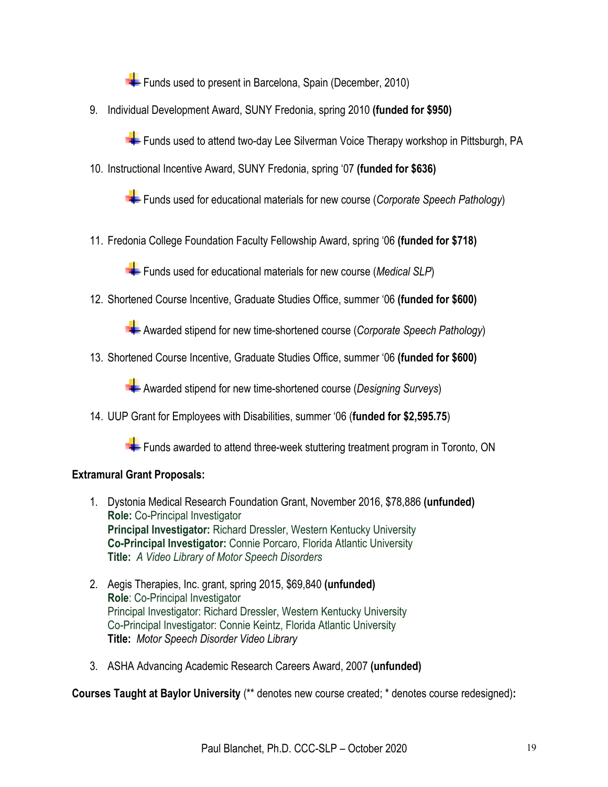Funds used to present in Barcelona, Spain (December, 2010)

9. Individual Development Award, SUNY Fredonia, spring 2010 **(funded for \$950)**

Funds used to attend two-day Lee Silverman Voice Therapy workshop in Pittsburgh, PA

10. Instructional Incentive Award, SUNY Fredonia, spring '07 **(funded for \$636)**

Funds used for educational materials for new course (*Corporate Speech Pathology*)

11. Fredonia College Foundation Faculty Fellowship Award, spring '06 **(funded for \$718)**

Funds used for educational materials for new course (*Medical SLP*)

12. Shortened Course Incentive, Graduate Studies Office, summer '06 **(funded for \$600)**

Awarded stipend for new time-shortened course (*Corporate Speech Pathology*)

13. Shortened Course Incentive, Graduate Studies Office, summer '06 **(funded for \$600)**

Awarded stipend for new time-shortened course (*Designing Surveys*)

14. UUP Grant for Employees with Disabilities, summer '06 (**funded for \$2,595.75**)

Funds awarded to attend three-week stuttering treatment program in Toronto, ON

# **Extramural Grant Proposals:**

- 1. Dystonia Medical Research Foundation Grant, November 2016, \$78,886 **(unfunded) Role:** Co-Principal Investigator **Principal Investigator:** Richard Dressler, Western Kentucky University **Co-Principal Investigator:** Connie Porcaro, Florida Atlantic University **Title:** *A Video Library of Motor Speech Disorders*
- 2. Aegis Therapies, Inc. grant, spring 2015, \$69,840 **(unfunded) Role**: Co-Principal Investigator Principal Investigator: Richard Dressler, Western Kentucky University Co-Principal Investigator: Connie Keintz, Florida Atlantic University **Title:** *Motor Speech Disorder Video Library*
- 3. ASHA Advancing Academic Research Careers Award, 2007 **(unfunded)**

**Courses Taught at Baylor University** (\*\* denotes new course created; \* denotes course redesigned)**:**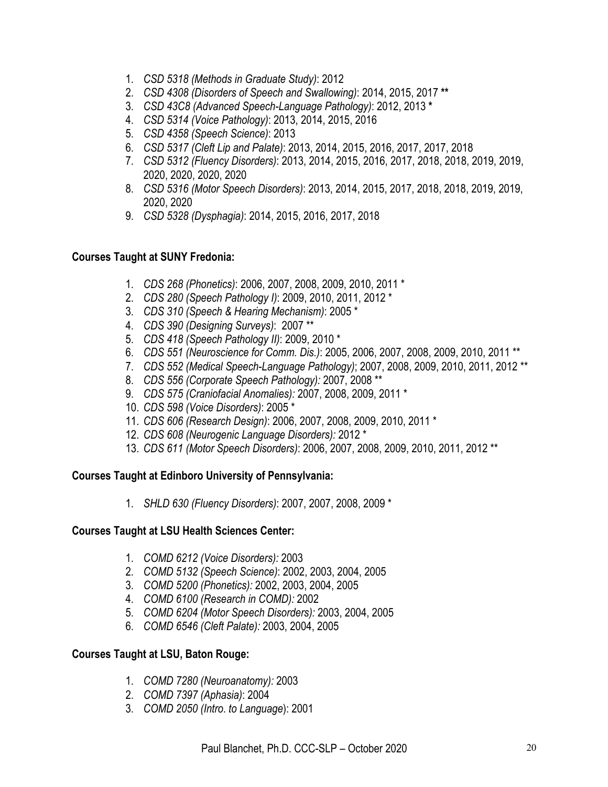- 1. *CSD 5318 (Methods in Graduate Study)*: 2012
- 2. *CSD 4308 (Disorders of Speech and Swallowing)*: 2014, 2015, 2017 **\*\***
- 3. *CSD 43C8 (Advanced Speech-Language Pathology)*: 2012, 2013 **\***
- 4. *CSD 5314 (Voice Pathology)*: 2013, 2014, 2015, 2016
- 5. *CSD 4358 (Speech Science)*: 2013
- 6. *CSD 5317 (Cleft Lip and Palate)*: 2013, 2014, 2015, 2016, 2017, 2017, 2018
- 7. *CSD 5312 (Fluency Disorders)*: 2013, 2014, 2015, 2016, 2017, 2018, 2018, 2019, 2019, 2020, 2020, 2020, 2020
- 8. *CSD 5316 (Motor Speech Disorders)*: 2013, 2014, 2015, 2017, 2018, 2018, 2019, 2019, 2020, 2020
- 9. *CSD 5328 (Dysphagia)*: 2014, 2015, 2016, 2017, 2018

## **Courses Taught at SUNY Fredonia:**

- 1. *CDS 268 (Phonetics)*: 2006, 2007, 2008, 2009, 2010, 2011 \*
- 2. *CDS 280 (Speech Pathology I)*: 2009, 2010, 2011, 2012 \*
- 3. *CDS 310 (Speech & Hearing Mechanism)*: 2005 \*
- 4. *CDS 390 (Designing Surveys)*: 2007 \*\*
- 5. *CDS 418 (Speech Pathology II)*: 2009, 2010 \*
- 6. *CDS 551 (Neuroscience for Comm. Dis.)*: 2005, 2006, 2007, 2008, 2009, 2010, 2011 \*\*
- 7. *CDS 552 (Medical Speech-Language Pathology)*; 2007, 2008, 2009, 2010, 2011, 2012 \*\*
- 8. *CDS 556 (Corporate Speech Pathology):* 2007, 2008 \*\*
- 9. *CDS 575 (Craniofacial Anomalies):* 2007, 2008, 2009, 2011 \*
- 10. *CDS 598 (Voice Disorders)*: 2005 \*
- 11. *CDS 606 (Research Design)*: 2006, 2007, 2008, 2009, 2010, 2011 \*
- 12. *CDS 608 (Neurogenic Language Disorders):* 2012 \*
- 13. *CDS 611 (Motor Speech Disorders)*: 2006, 2007, 2008, 2009, 2010, 2011, 2012 \*\*

### **Courses Taught at Edinboro University of Pennsylvania:**

1. *SHLD 630 (Fluency Disorders)*: 2007, 2007, 2008, 2009 \*

### **Courses Taught at LSU Health Sciences Center:**

- 1. *COMD 6212 (Voice Disorders):* 2003
- 2. *COMD 5132 (Speech Science)*: 2002, 2003, 2004, 2005
- 3. *COMD 5200 (Phonetics):* 2002, 2003, 2004, 2005
- 4. *COMD 6100 (Research in COMD):* 2002
- 5. *COMD 6204 (Motor Speech Disorders):* 2003, 2004, 2005
- 6. *COMD 6546 (Cleft Palate):* 2003, 2004, 2005

# **Courses Taught at LSU, Baton Rouge:**

- 1. *COMD 7280 (Neuroanatomy):* 2003
- 2. *COMD 7397 (Aphasia)*: 2004
- 3. *COMD 2050 (Intro*. *to Language*): 2001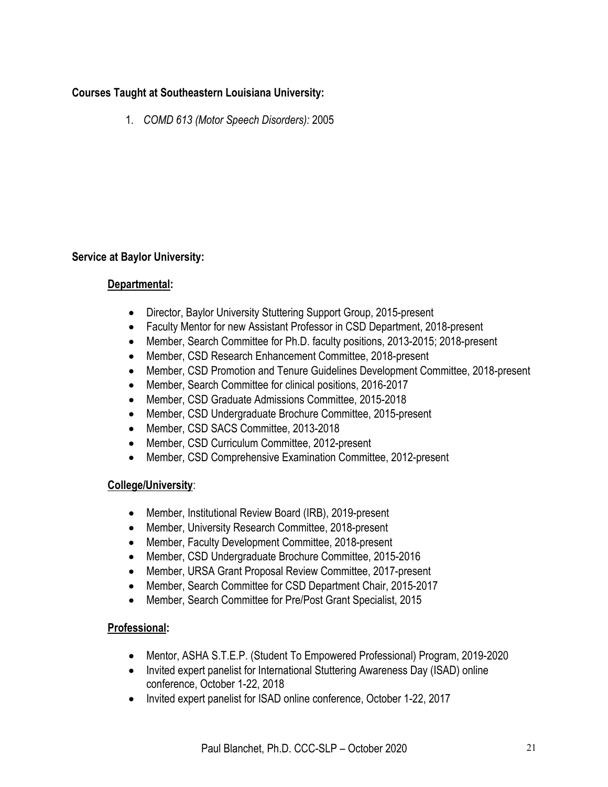# **Courses Taught at Southeastern Louisiana University:**

1. *COMD 613 (Motor Speech Disorders):* 2005

# **Service at Baylor University:**

# **Departmental:**

- Director, Baylor University Stuttering Support Group, 2015-present
- Faculty Mentor for new Assistant Professor in CSD Department, 2018-present
- Member, Search Committee for Ph.D. faculty positions, 2013-2015; 2018-present
- Member, CSD Research Enhancement Committee, 2018-present
- Member, CSD Promotion and Tenure Guidelines Development Committee, 2018-present
- Member, Search Committee for clinical positions, 2016-2017
- Member, CSD Graduate Admissions Committee, 2015-2018
- Member, CSD Undergraduate Brochure Committee, 2015-present
- Member, CSD SACS Committee, 2013-2018
- Member, CSD Curriculum Committee, 2012-present
- Member, CSD Comprehensive Examination Committee, 2012-present

# **College/University**:

- Member, Institutional Review Board (IRB), 2019-present
- Member, University Research Committee, 2018-present
- Member, Faculty Development Committee, 2018-present
- Member, CSD Undergraduate Brochure Committee, 2015-2016
- Member, URSA Grant Proposal Review Committee, 2017-present
- Member, Search Committee for CSD Department Chair, 2015-2017
- Member, Search Committee for Pre/Post Grant Specialist, 2015

# **Professional:**

- Mentor, ASHA S.T.E.P. (Student To Empowered Professional) Program, 2019-2020
- Invited expert panelist for International Stuttering Awareness Day (ISAD) online conference, October 1-22, 2018
- Invited expert panelist for ISAD online conference, October 1-22, 2017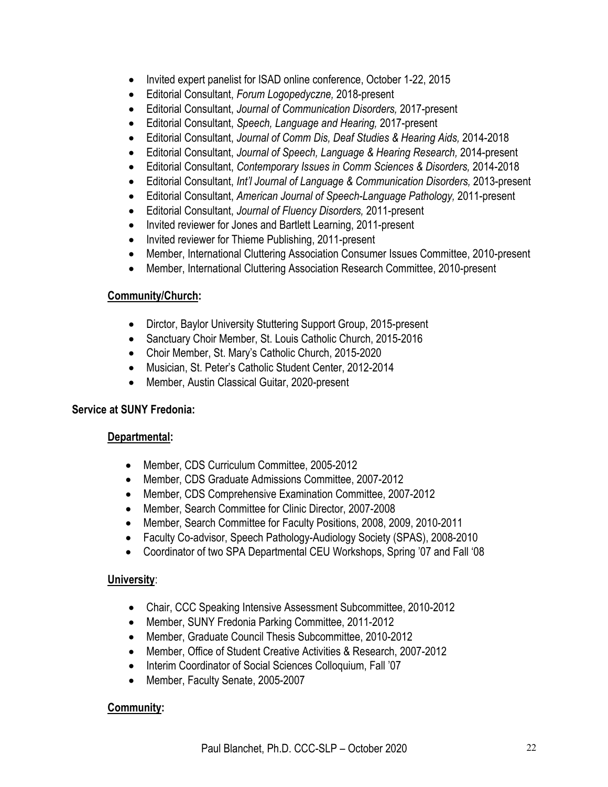- Invited expert panelist for ISAD online conference, October 1-22, 2015
- Editorial Consultant, *Forum Logopedyczne,* 2018-present
- Editorial Consultant, *Journal of Communication Disorders,* 2017-present
- Editorial Consultant, *Speech, Language and Hearing,* 2017-present
- Editorial Consultant, *Journal of Comm Dis, Deaf Studies & Hearing Aids,* 2014-2018
- Editorial Consultant, *Journal of Speech, Language & Hearing Research,* 2014-present
- Editorial Consultant, *Contemporary Issues in Comm Sciences & Disorders,* 2014-2018
- Editorial Consultant, *Int'l Journal of Language & Communication Disorders,* 2013-present
- Editorial Consultant, *American Journal of Speech-Language Pathology,* 2011-present
- Editorial Consultant, *Journal of Fluency Disorders,* 2011-present
- Invited reviewer for Jones and Bartlett Learning, 2011-present
- Invited reviewer for Thieme Publishing, 2011-present
- Member, International Cluttering Association Consumer Issues Committee, 2010-present
- Member, International Cluttering Association Research Committee, 2010-present

## **Community/Church:**

- Dirctor, Baylor University Stuttering Support Group, 2015-present
- Sanctuary Choir Member, St. Louis Catholic Church, 2015-2016
- Choir Member, St. Mary's Catholic Church, 2015-2020
- Musician, St. Peter's Catholic Student Center, 2012-2014
- Member, Austin Classical Guitar, 2020-present

# **Service at SUNY Fredonia:**

# **Departmental:**

- Member, CDS Curriculum Committee, 2005-2012
- Member, CDS Graduate Admissions Committee, 2007-2012
- Member, CDS Comprehensive Examination Committee, 2007-2012
- Member, Search Committee for Clinic Director, 2007-2008
- Member, Search Committee for Faculty Positions, 2008, 2009, 2010-2011
- Faculty Co-advisor, Speech Pathology-Audiology Society (SPAS), 2008-2010
- Coordinator of two SPA Departmental CEU Workshops, Spring '07 and Fall '08

# **University**:

- Chair, CCC Speaking Intensive Assessment Subcommittee, 2010-2012
- Member, SUNY Fredonia Parking Committee, 2011-2012
- Member, Graduate Council Thesis Subcommittee, 2010-2012
- Member, Office of Student Creative Activities & Research, 2007-2012
- Interim Coordinator of Social Sciences Colloquium, Fall '07
- Member, Faculty Senate, 2005-2007

# **Community:**